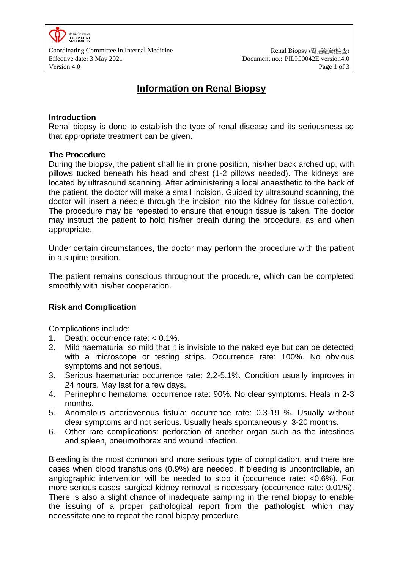

Coordinating Committee in Internal Medicine **Renal Biopsy (腎活組織檢**查) Effective date: 3 May 2021 Document no.: PILIC0042E version4.0

# **Information on Renal Biopsy**

## **Introduction**

Renal biopsy is done to establish the type of renal disease and its seriousness so that appropriate treatment can be given.

#### **The Procedure**

During the biopsy, the patient shall lie in prone position, his/her back arched up, with pillows tucked beneath his head and chest (1-2 pillows needed). The kidneys are located by ultrasound scanning. After administering a local anaesthetic to the back of the patient, the doctor will make a small incision. Guided by ultrasound scanning, the doctor will insert a needle through the incision into the kidney for tissue collection. The procedure may be repeated to ensure that enough tissue is taken. The doctor may instruct the patient to hold his/her breath during the procedure, as and when appropriate.

Under certain circumstances, the doctor may perform the procedure with the patient in a supine position.

The patient remains conscious throughout the procedure, which can be completed smoothly with his/her cooperation.

## **Risk and Complication**

Complications include:

- 1. Death: occurrence rate: < 0.1%.
- 2. Mild haematuria: so mild that it is invisible to the naked eye but can be detected with a microscope or testing strips. Occurrence rate: 100%. No obvious symptoms and not serious.
- 3. Serious haematuria: occurrence rate: 2.2-5.1%. Condition usually improves in 24 hours. May last for a few days.
- 4. Perinephric hematoma: occurrence rate: 90%. No clear symptoms. Heals in 2-3 months.
- 5. Anomalous arteriovenous fistula: occurrence rate: 0.3-19 %. Usually without clear symptoms and not serious. Usually heals spontaneously 3-20 months.
- 6. Other rare complications: perforation of another organ such as the intestines and spleen, pneumothorax and wound infection.

Bleeding is the most common and more serious type of complication, and there are cases when blood transfusions (0.9%) are needed. If bleeding is uncontrollable, an angiographic intervention will be needed to stop it (occurrence rate: <0.6%). For more serious cases, surgical kidney removal is necessary (occurrence rate: 0.01%). There is also a slight chance of inadequate sampling in the renal biopsy to enable the issuing of a proper pathological report from the pathologist, which may necessitate one to repeat the renal biopsy procedure.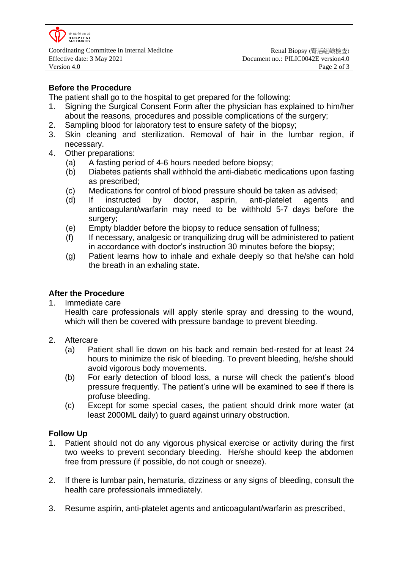

Coordinating Committee in Internal Medicine **Renal Biopsy (腎活組織檢**查) Effective date: 3 May 2021 Document no.: PILIC0042E version4.0 Version 4.0 **Page 2 of 3** 

# **Before the Procedure**

The patient shall go to the hospital to get prepared for the following:

- 1. Signing the Surgical Consent Form after the physician has explained to him/her about the reasons, procedures and possible complications of the surgery;
- 2. Sampling blood for laboratory test to ensure safety of the biopsy;
- 3. Skin cleaning and sterilization. Removal of hair in the lumbar region, if necessary.
- 4. Other preparations:
	- (a) A fasting period of 4-6 hours needed before biopsy;
	- (b) Diabetes patients shall withhold the anti-diabetic medications upon fasting as prescribed;
	- (c) Medications for control of blood pressure should be taken as advised;
	- (d) If instructed by doctor, aspirin, anti-platelet agents and anticoagulant/warfarin may need to be withhold 5-7 days before the surgery;
	- (e) Empty bladder before the biopsy to reduce sensation of fullness;
	- (f) If necessary, analgesic or tranquilizing drug will be administered to patient in accordance with doctor's instruction 30 minutes before the biopsy;
	- (g) Patient learns how to inhale and exhale deeply so that he/she can hold the breath in an exhaling state.

## **After the Procedure**

1. Immediate care

Health care professionals will apply sterile spray and dressing to the wound, which will then be covered with pressure bandage to prevent bleeding.

- 2. Aftercare
	- (a) Patient shall lie down on his back and remain bed-rested for at least 24 hours to minimize the risk of bleeding. To prevent bleeding, he/she should avoid vigorous body movements.
	- (b) For early detection of blood loss, a nurse will check the patient's blood pressure frequently. The patient's urine will be examined to see if there is profuse bleeding.
	- (c) Except for some special cases, the patient should drink more water (at least 2000ML daily) to guard against urinary obstruction.

## **Follow Up**

- 1. Patient should not do any vigorous physical exercise or activity during the first two weeks to prevent secondary bleeding. He/she should keep the abdomen free from pressure (if possible, do not cough or sneeze).
- 2. If there is lumbar pain, hematuria, dizziness or any signs of bleeding, consult the health care professionals immediately.
- 3. Resume aspirin, anti-platelet agents and anticoagulant/warfarin as prescribed,